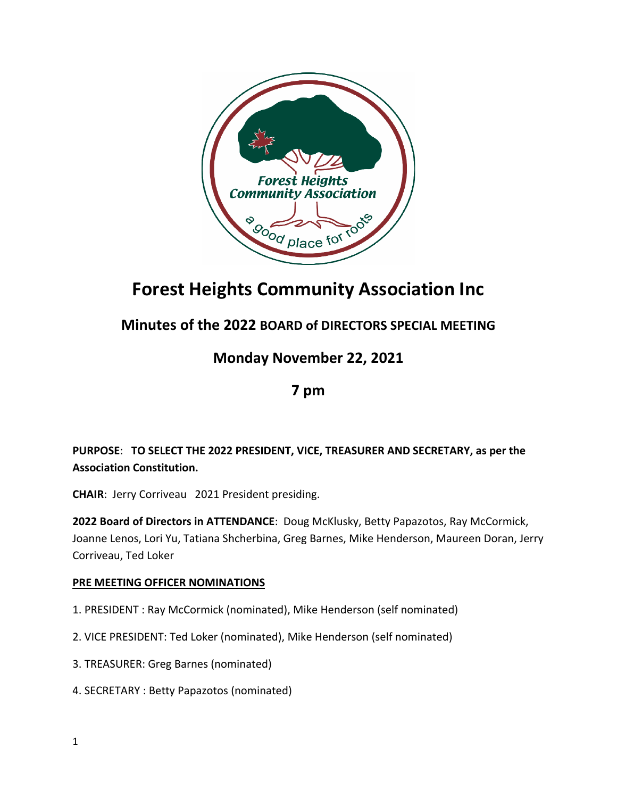

# **Forest Heights Community Association Inc**

## **Minutes of the 2022 BOARD of DIRECTORS SPECIAL MEETING**

### **Monday November 22, 2021**

#### **7 pm**

#### **PURPOSE**: **TO SELECT THE 2022 PRESIDENT, VICE, TREASURER AND SECRETARY, as per the Association Constitution.**

**CHAIR**: Jerry Corriveau 2021 President presiding.

**2022 Board of Directors in ATTENDANCE**: Doug McKlusky, Betty Papazotos, Ray McCormick, Joanne Lenos, Lori Yu, Tatiana Shcherbina, Greg Barnes, Mike Henderson, Maureen Doran, Jerry Corriveau, Ted Loker

#### **PRE MEETING OFFICER NOMINATIONS**

- 1. PRESIDENT : Ray McCormick (nominated), Mike Henderson (self nominated)
- 2. VICE PRESIDENT: Ted Loker (nominated), Mike Henderson (self nominated)
- 3. TREASURER: Greg Barnes (nominated)
- 4. SECRETARY : Betty Papazotos (nominated)